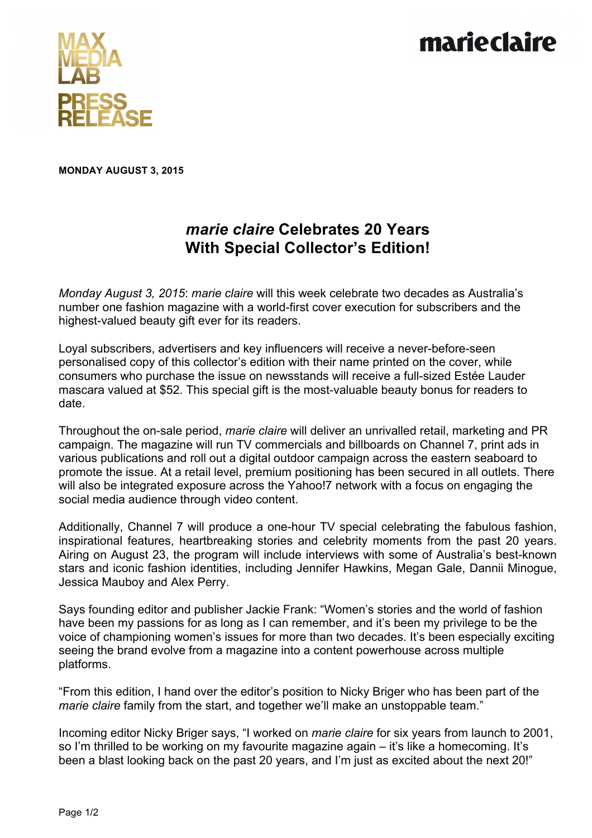## marieclaire



**MONDAY AUGUST 3, 2015**

## *marie claire* **Celebrates 20 Years With Special Collector's Edition!**

*Monday August 3, 2015*: *marie claire* will this week celebrate two decades as Australia's number one fashion magazine with a world-first cover execution for subscribers and the highest-valued beauty gift ever for its readers.

Loyal subscribers, advertisers and key influencers will receive a never-before-seen personalised copy of this collector's edition with their name printed on the cover, while consumers who purchase the issue on newsstands will receive a full-sized Estée Lauder mascara valued at \$52. This special gift is the most-valuable beauty bonus for readers to date.

Throughout the on-sale period, *marie claire* will deliver an unrivalled retail, marketing and PR campaign. The magazine will run TV commercials and billboards on Channel 7, print ads in various publications and roll out a digital outdoor campaign across the eastern seaboard to promote the issue. At a retail level, premium positioning has been secured in all outlets. There will also be integrated exposure across the Yahoo!7 network with a focus on engaging the social media audience through video content.

Additionally, Channel 7 will produce a one-hour TV special celebrating the fabulous fashion, inspirational features, heartbreaking stories and celebrity moments from the past 20 years. Airing on August 23, the program will include interviews with some of Australia's best-known stars and iconic fashion identities, including Jennifer Hawkins, Megan Gale, Dannii Minogue, Jessica Mauboy and Alex Perry.

Says founding editor and publisher Jackie Frank: "Women's stories and the world of fashion have been my passions for as long as I can remember, and it's been my privilege to be the voice of championing women's issues for more than two decades. It's been especially exciting seeing the brand evolve from a magazine into a content powerhouse across multiple platforms.

"From this edition, I hand over the editor's position to Nicky Briger who has been part of the *marie claire* family from the start, and together we'll make an unstoppable team."

Incoming editor Nicky Briger says, "I worked on *marie claire* for six years from launch to 2001, so I'm thrilled to be working on my favourite magazine again – it's like a homecoming. It's been a blast looking back on the past 20 years, and I'm just as excited about the next 20!"